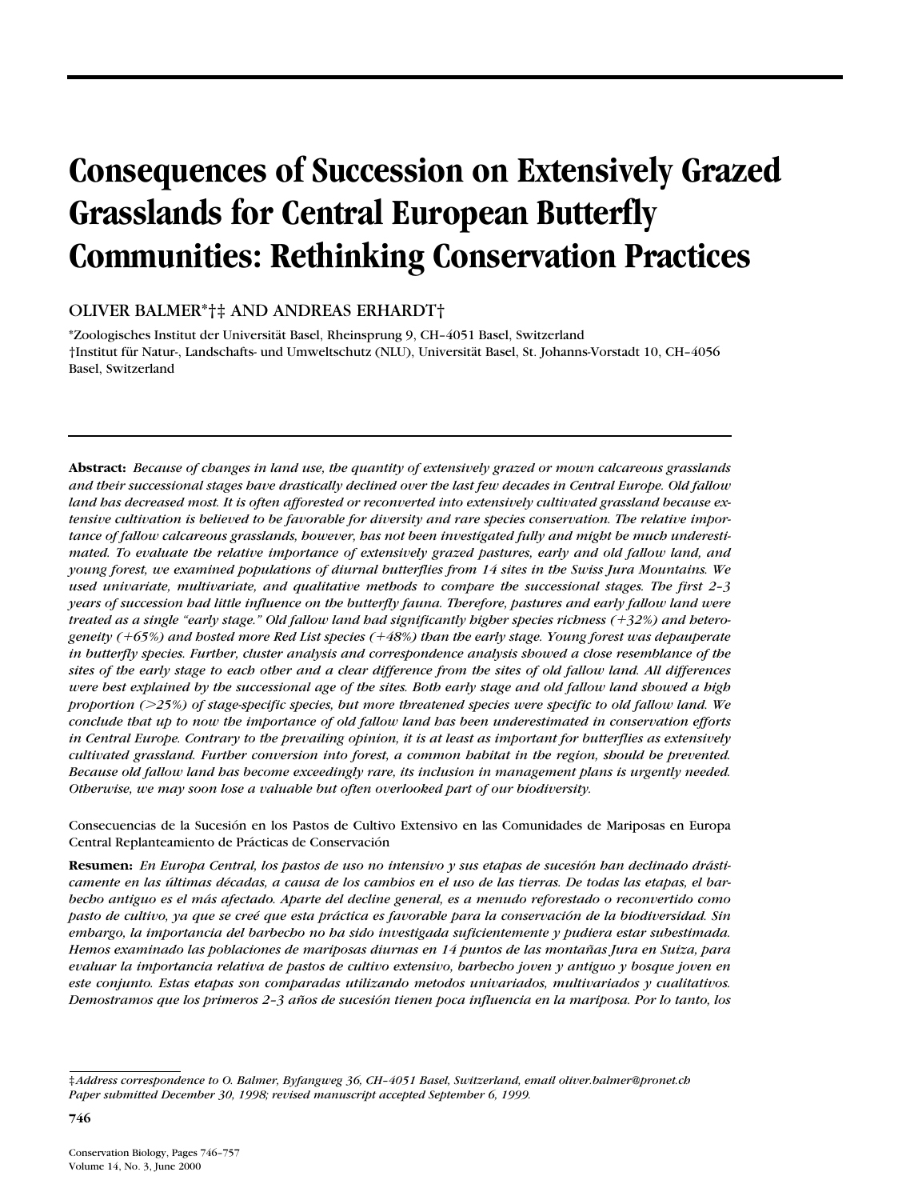# **Consequences of Succession on Extensively Grazed Grasslands for Central European Butterfly Communities: Rethinking Conservation Practices**

# OLIVER BALMER\*†‡ AND ANDREAS ERHARDT†

\*Zoologisches Institut der Universität Basel, Rheinsprung 9, CH–4051 Basel, Switzerland †Institut für Natur-, Landschafts- und Umweltschutz (NLU), Universität Basel, St. Johanns-Vorstadt 10, CH–4056 Basel, Switzerland

**Abstract:** *Because of changes in land use, the quantity of extensively grazed or mown calcareous grasslands and their successional stages have drastically declined over the last few decades in Central Europe. Old fallow land has decreased most. It is often afforested or reconverted into extensively cultivated grassland because extensive cultivation is believed to be favorable for diversity and rare species conservation. The relative importance of fallow calcareous grasslands, however, has not been investigated fully and might be much underestimated. To evaluate the relative importance of extensively grazed pastures, early and old fallow land, and young forest, we examined populations of diurnal butterflies from 14 sites in the Swiss Jura Mountains. We used univariate, multivariate, and qualitative methods to compare the successional stages. The first 2–3 years of succession had little influence on the butterfly fauna. Therefore, pastures and early fallow land were treated as a single "early stage." Old fallow land had significantly higher species richness (*1*32%) and heterogeneity (*1*65%) and hosted more Red List species (*1*48%) than the early stage. Young forest was depauperate in butterfly species. Further, cluster analysis and correspondence analysis showed a close resemblance of the sites of the early stage to each other and a clear difference from the sites of old fallow land. All differences were best explained by the successional age of the sites. Both early stage and old fallow land showed a high proportion (*.*25%) of stage-specific species, but more threatened species were specific to old fallow land. We conclude that up to now the importance of old fallow land has been underestimated in conservation efforts in Central Europe. Contrary to the prevailing opinion, it is at least as important for butterflies as extensively cultivated grassland. Further conversion into forest, a common habitat in the region, should be prevented. Because old fallow land has become exceedingly rare, its inclusion in management plans is urgently needed. Otherwise, we may soon lose a valuable but often overlooked part of our biodiversity.*

Consecuencias de la Sucesión en los Pastos de Cultivo Extensivo en las Comunidades de Mariposas en Europa Central Replanteamiento de Prácticas de Conservación

**Resumen:** *En Europa Central, los pastos de uso no intensivo y sus etapas de sucesión han declinado drásticamente en las últimas décadas, a causa de los cambios en el uso de las tierras. De todas las etapas, el barbecho antiguo es el más afectado. Aparte del decline general, es a menudo reforestado o reconvertido como pasto de cultivo, ya que se creé que esta práctica es favorable para la conservación de la biodiversidad. Sin embargo, la importancia del barbecho no ha sido investigada suficientemente y pudiera estar subestimada. Hemos examinado las poblaciones de mariposas diurnas en 14 puntos de las montañas Jura en Suiza, para evaluar la importancia relativa de pastos de cultivo extensivo, barbecho joven y antiguo y bosque joven en este conjunto. Estas etapas son comparadas utilizando metodos univariados, multivariados y cualitativos. Demostramos que los primeros 2–3 años de sucesión tienen poca influencia en la mariposa. Por lo tanto, los*

<sup>‡</sup>*Address correspondence to O. Balmer, Byfangweg 36, CH–4051 Basel, Switzerland, email oliver.balmer@pronet.ch Paper submitted December 30, 1998; revised manuscript accepted September 6, 1999.*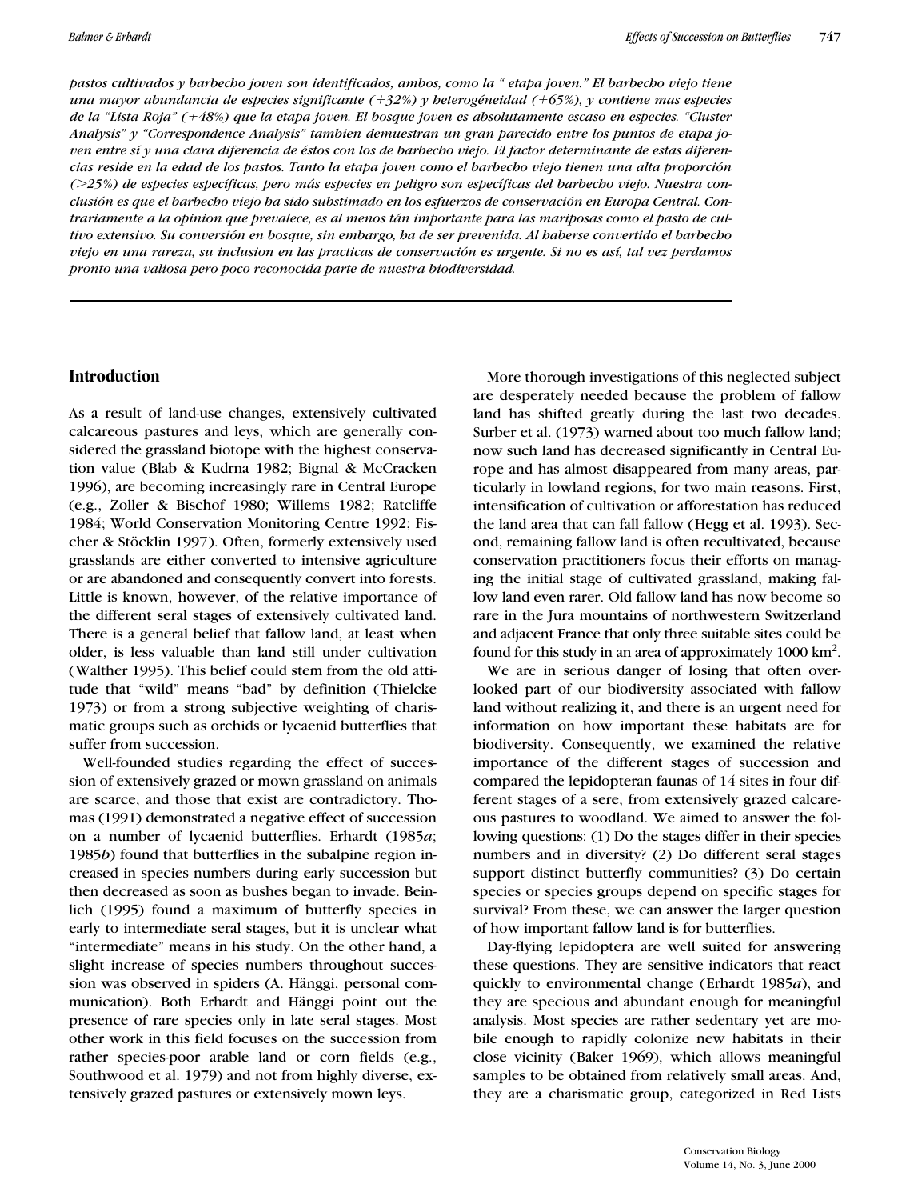*pastos cultivados y barbecho joven son identificados, ambos, como la " etapa joven." El barbecho viejo tiene una mayor abundancia de especies significante (*1*32%) y heterogéneidad (*1*65%), y contiene mas especies de la "Lista Roja" (*1*48%) que la etapa joven. El bosque joven es absolutamente escaso en especies. "Cluster Analysis" y "Correspondence Analysis" tambien demuestran un gran parecido entre los puntos de etapa joven entre sí y una clara diferencia de éstos con los de barbecho viejo. El factor determinante de estas diferencias reside en la edad de los pastos. Tanto la etapa joven como el barbecho viejo tienen una alta proporción (*.*25%) de especies específicas, pero más especies en peligro son específicas del barbecho viejo. Nuestra conclusión es que el barbecho viejo ha sido substimado en los esfuerzos de conservación en Europa Central. Contrariamente a la opinion que prevalece, es al menos tán importante para las mariposas como el pasto de cultivo extensivo. Su conversión en bosque, sin embargo, ha de ser prevenida. Al haberse convertido el barbecho viejo en una rareza, su inclusion en las practicas de conservación es urgente. Si no es así, tal vez perdamos pronto una valiosa pero poco reconocida parte de nuestra biodiversidad.*

## **Introduction**

As a result of land-use changes, extensively cultivated calcareous pastures and leys, which are generally considered the grassland biotope with the highest conservation value (Blab & Kudrna 1982; Bignal & McCracken 1996), are becoming increasingly rare in Central Europe (e.g., Zoller & Bischof 1980; Willems 1982; Ratcliffe 1984; World Conservation Monitoring Centre 1992; Fischer & Stöcklin 1997). Often, formerly extensively used grasslands are either converted to intensive agriculture or are abandoned and consequently convert into forests. Little is known, however, of the relative importance of the different seral stages of extensively cultivated land. There is a general belief that fallow land, at least when older, is less valuable than land still under cultivation (Walther 1995). This belief could stem from the old attitude that "wild" means "bad" by definition (Thielcke 1973) or from a strong subjective weighting of charismatic groups such as orchids or lycaenid butterflies that suffer from succession.

Well-founded studies regarding the effect of succession of extensively grazed or mown grassland on animals are scarce, and those that exist are contradictory. Thomas (1991) demonstrated a negative effect of succession on a number of lycaenid butterflies. Erhardt (1985*a*; 1985*b*) found that butterflies in the subalpine region increased in species numbers during early succession but then decreased as soon as bushes began to invade. Beinlich (1995) found a maximum of butterfly species in early to intermediate seral stages, but it is unclear what "intermediate" means in his study. On the other hand, a slight increase of species numbers throughout succession was observed in spiders (A. Hänggi, personal communication). Both Erhardt and Hänggi point out the presence of rare species only in late seral stages. Most other work in this field focuses on the succession from rather species-poor arable land or corn fields (e.g., Southwood et al. 1979) and not from highly diverse, extensively grazed pastures or extensively mown leys.

More thorough investigations of this neglected subject are desperately needed because the problem of fallow land has shifted greatly during the last two decades. Surber et al. (1973) warned about too much fallow land; now such land has decreased significantly in Central Europe and has almost disappeared from many areas, particularly in lowland regions, for two main reasons. First, intensification of cultivation or afforestation has reduced the land area that can fall fallow (Hegg et al. 1993). Second, remaining fallow land is often recultivated, because conservation practitioners focus their efforts on managing the initial stage of cultivated grassland, making fallow land even rarer. Old fallow land has now become so rare in the Jura mountains of northwestern Switzerland and adjacent France that only three suitable sites could be found for this study in an area of approximately  $1000 \text{ km}^2$ .

We are in serious danger of losing that often overlooked part of our biodiversity associated with fallow land without realizing it, and there is an urgent need for information on how important these habitats are for biodiversity. Consequently, we examined the relative importance of the different stages of succession and compared the lepidopteran faunas of 14 sites in four different stages of a sere, from extensively grazed calcareous pastures to woodland. We aimed to answer the following questions: (1) Do the stages differ in their species numbers and in diversity? (2) Do different seral stages support distinct butterfly communities? (3) Do certain species or species groups depend on specific stages for survival? From these, we can answer the larger question of how important fallow land is for butterflies.

Day-flying lepidoptera are well suited for answering these questions. They are sensitive indicators that react quickly to environmental change (Erhardt 1985*a*), and they are specious and abundant enough for meaningful analysis. Most species are rather sedentary yet are mobile enough to rapidly colonize new habitats in their close vicinity (Baker 1969), which allows meaningful samples to be obtained from relatively small areas. And, they are a charismatic group, categorized in Red Lists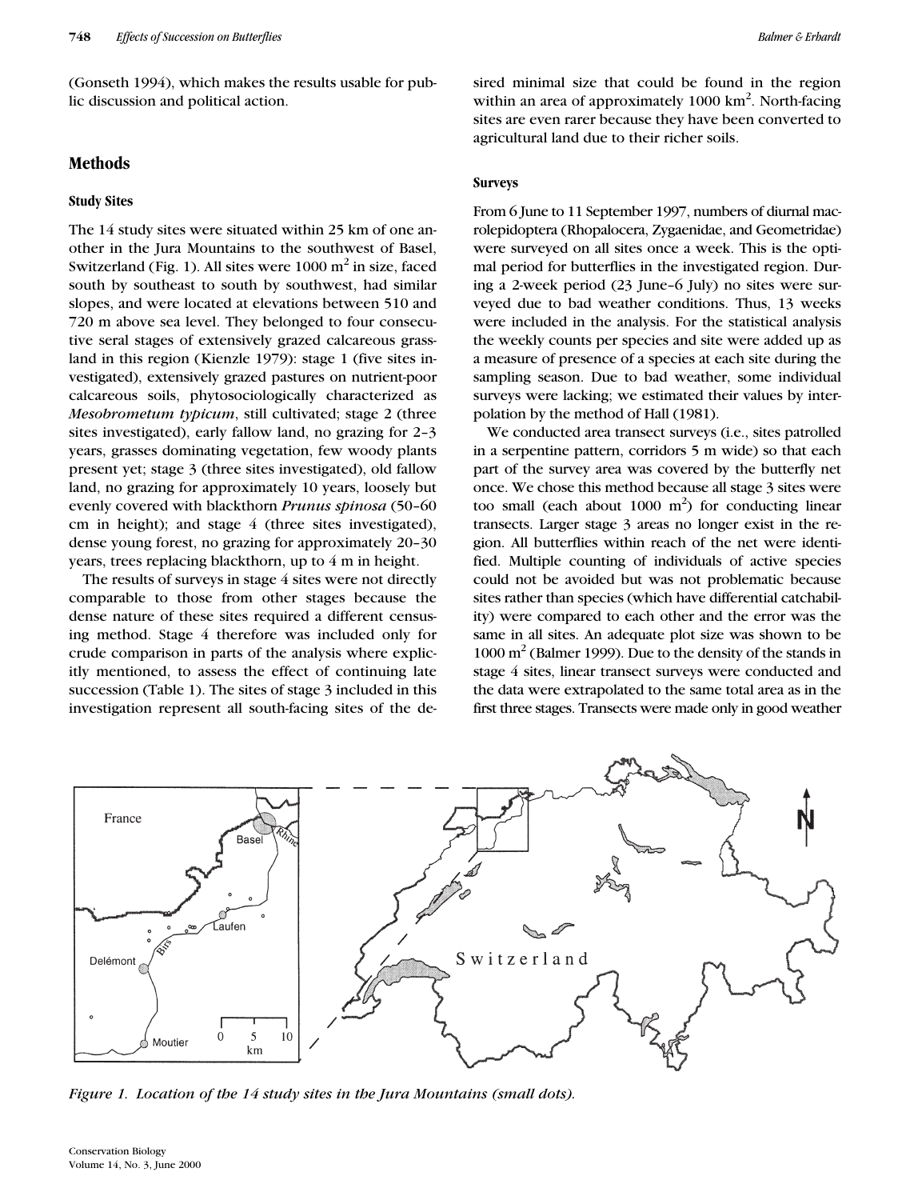(Gonseth 1994), which makes the results usable for public discussion and political action.

# **Methods**

## **Study Sites**

The 14 study sites were situated within 25 km of one another in the Jura Mountains to the southwest of Basel, Switzerland (Fig. 1). All sites were  $1000 \text{ m}^2$  in size, faced south by southeast to south by southwest, had similar slopes, and were located at elevations between 510 and 720 m above sea level. They belonged to four consecutive seral stages of extensively grazed calcareous grassland in this region (Kienzle 1979): stage 1 (five sites investigated), extensively grazed pastures on nutrient-poor calcareous soils, phytosociologically characterized as *Mesobrometum typicum*, still cultivated; stage 2 (three sites investigated), early fallow land, no grazing for 2–3 years, grasses dominating vegetation, few woody plants present yet; stage 3 (three sites investigated), old fallow land, no grazing for approximately 10 years, loosely but evenly covered with blackthorn *Prunus spinosa* (50–60 cm in height); and stage 4 (three sites investigated), dense young forest, no grazing for approximately 20–30 years, trees replacing blackthorn, up to 4 m in height.

The results of surveys in stage 4 sites were not directly comparable to those from other stages because the dense nature of these sites required a different censusing method. Stage 4 therefore was included only for crude comparison in parts of the analysis where explicitly mentioned, to assess the effect of continuing late succession (Table 1). The sites of stage 3 included in this investigation represent all south-facing sites of the desired minimal size that could be found in the region within an area of approximately 1000 km<sup>2</sup>. North-facing sites are even rarer because they have been converted to agricultural land due to their richer soils.

## **Surveys**

From 6 June to 11 September 1997, numbers of diurnal macrolepidoptera (Rhopalocera, Zygaenidae, and Geometridae) were surveyed on all sites once a week. This is the optimal period for butterflies in the investigated region. During a 2-week period (23 June–6 July) no sites were surveyed due to bad weather conditions. Thus, 13 weeks were included in the analysis. For the statistical analysis the weekly counts per species and site were added up as a measure of presence of a species at each site during the sampling season. Due to bad weather, some individual surveys were lacking; we estimated their values by interpolation by the method of Hall (1981).

We conducted area transect surveys (i.e., sites patrolled in a serpentine pattern, corridors 5 m wide) so that each part of the survey area was covered by the butterfly net once. We chose this method because all stage 3 sites were too small (each about  $1000 \text{ m}^2$ ) for conducting linear transects. Larger stage 3 areas no longer exist in the region. All butterflies within reach of the net were identified. Multiple counting of individuals of active species could not be avoided but was not problematic because sites rather than species (which have differential catchability) were compared to each other and the error was the same in all sites. An adequate plot size was shown to be 1000 m<sup>2</sup> (Balmer 1999). Due to the density of the stands in stage 4 sites, linear transect surveys were conducted and the data were extrapolated to the same total area as in the first three stages. Transects were made only in good weather



*Figure 1. Location of the 14 study sites in the Jura Mountains (small dots).*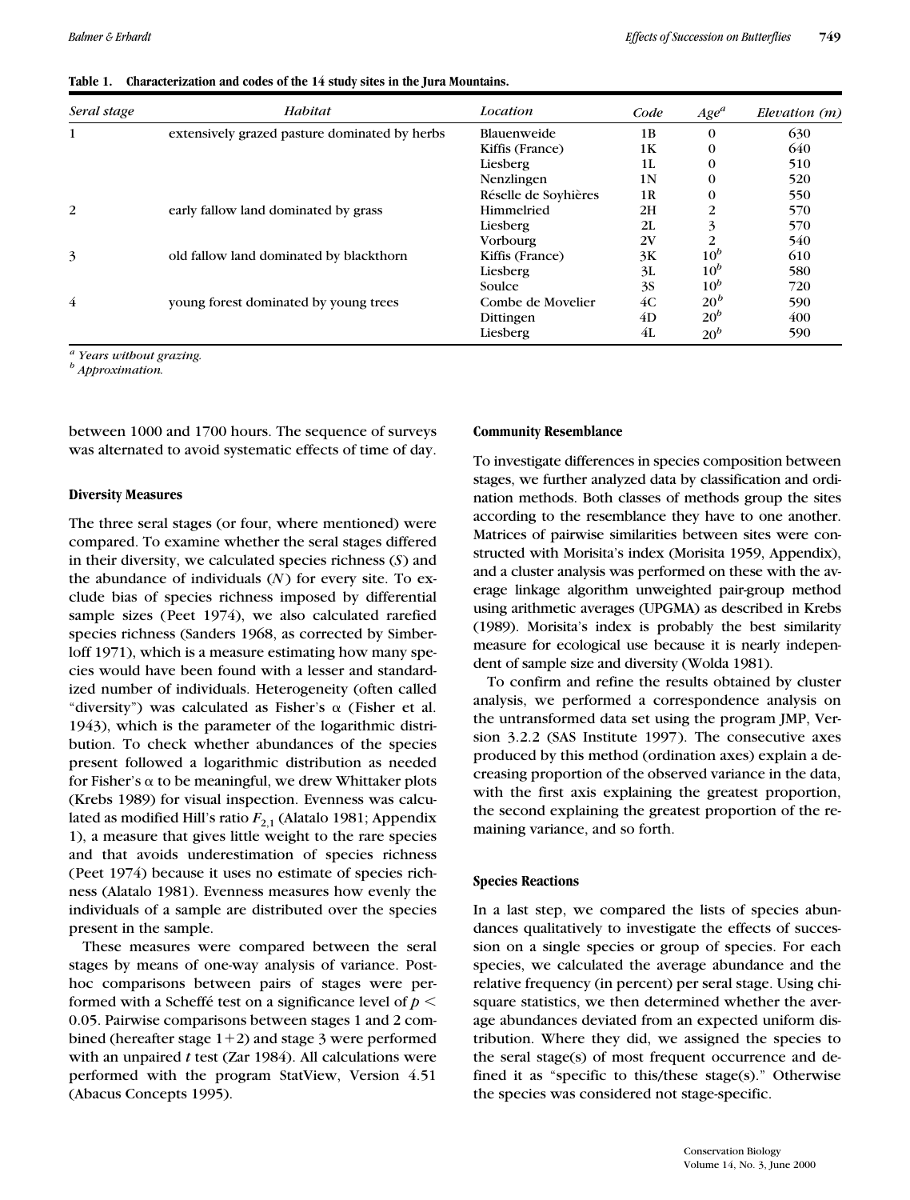| Seral stage    | Habitat                                       | Location             | Code           | $Age^a$         | Elevation (m) |
|----------------|-----------------------------------------------|----------------------|----------------|-----------------|---------------|
| 1              | extensively grazed pasture dominated by herbs | Blauenweide          | 1B             | $\Omega$        | 630           |
|                |                                               | Kiffis (France)      | 1K             | $\Omega$        | 640           |
|                |                                               | Liesberg             | 1L             | $\Omega$        | 510           |
|                |                                               | Nenzlingen           | 1 <sub>N</sub> | 0               | 520           |
|                |                                               | Réselle de Soyhières | 1R             | $\Omega$        | 550           |
| 2              | early fallow land dominated by grass          | Himmelried           | 2H             | 2               | 570           |
|                |                                               | Liesberg             | 2L             | 3               | 570           |
|                |                                               | Vorbourg             | 2V             |                 | 540           |
| 3              | old fallow land dominated by blackthorn       | Kiffis (France)      | 3K             | $10^b$          | 610           |
|                |                                               | Liesberg             | 3L             | $10^b$          | 580           |
|                |                                               | Soulce               | 3S             | $10^b$          | 720           |
| $\overline{4}$ | young forest dominated by young trees         | Combe de Movelier    | 4C             | 20 <sup>b</sup> | 590           |
|                |                                               | Dittingen            | 4D             | $20^b$          | 400           |
|                |                                               | Liesberg             | 4L             | $20^b$          | 590           |

**Table 1. Characterization and codes of the 14 study sites in the Jura Mountains.**

*a Years without grazing.*

*b Approximation.*

between 1000 and 1700 hours. The sequence of surveys was alternated to avoid systematic effects of time of day.

#### **Diversity Measures**

The three seral stages (or four, where mentioned) were compared. To examine whether the seral stages differed in their diversity, we calculated species richness (*S*) and the abundance of individuals (*N*) for every site. To exclude bias of species richness imposed by differential sample sizes (Peet 1974), we also calculated rarefied species richness (Sanders 1968, as corrected by Simberloff 1971), which is a measure estimating how many species would have been found with a lesser and standardized number of individuals. Heterogeneity (often called "diversity") was calculated as Fisher's  $\alpha$  (Fisher et al. 1943), which is the parameter of the logarithmic distribution. To check whether abundances of the species present followed a logarithmic distribution as needed for Fisher's  $\alpha$  to be meaningful, we drew Whittaker plots (Krebs 1989) for visual inspection. Evenness was calculated as modified Hill's ratio  $F_{2,1}$  (Alatalo 1981; Appendix 1), a measure that gives little weight to the rare species and that avoids underestimation of species richness (Peet 1974) because it uses no estimate of species richness (Alatalo 1981). Evenness measures how evenly the individuals of a sample are distributed over the species present in the sample.

These measures were compared between the seral stages by means of one-way analysis of variance. Posthoc comparisons between pairs of stages were performed with a Scheffé test on a significance level of  $p <$ 0.05. Pairwise comparisons between stages 1 and 2 combined (hereafter stage  $1+2$ ) and stage 3 were performed with an unpaired *t* test (Zar 1984). All calculations were performed with the program StatView, Version 4.51 (Abacus Concepts 1995).

#### **Community Resemblance**

To investigate differences in species composition between stages, we further analyzed data by classification and ordination methods. Both classes of methods group the sites according to the resemblance they have to one another. Matrices of pairwise similarities between sites were constructed with Morisita's index (Morisita 1959, Appendix), and a cluster analysis was performed on these with the average linkage algorithm unweighted pair-group method using arithmetic averages (UPGMA) as described in Krebs (1989). Morisita's index is probably the best similarity measure for ecological use because it is nearly independent of sample size and diversity (Wolda 1981).

To confirm and refine the results obtained by cluster analysis, we performed a correspondence analysis on the untransformed data set using the program JMP, Version 3.2.2 (SAS Institute 1997). The consecutive axes produced by this method (ordination axes) explain a decreasing proportion of the observed variance in the data, with the first axis explaining the greatest proportion, the second explaining the greatest proportion of the remaining variance, and so forth.

### **Species Reactions**

In a last step, we compared the lists of species abundances qualitatively to investigate the effects of succession on a single species or group of species. For each species, we calculated the average abundance and the relative frequency (in percent) per seral stage. Using chisquare statistics, we then determined whether the average abundances deviated from an expected uniform distribution. Where they did, we assigned the species to the seral stage(s) of most frequent occurrence and defined it as "specific to this/these stage(s)." Otherwise the species was considered not stage-specific.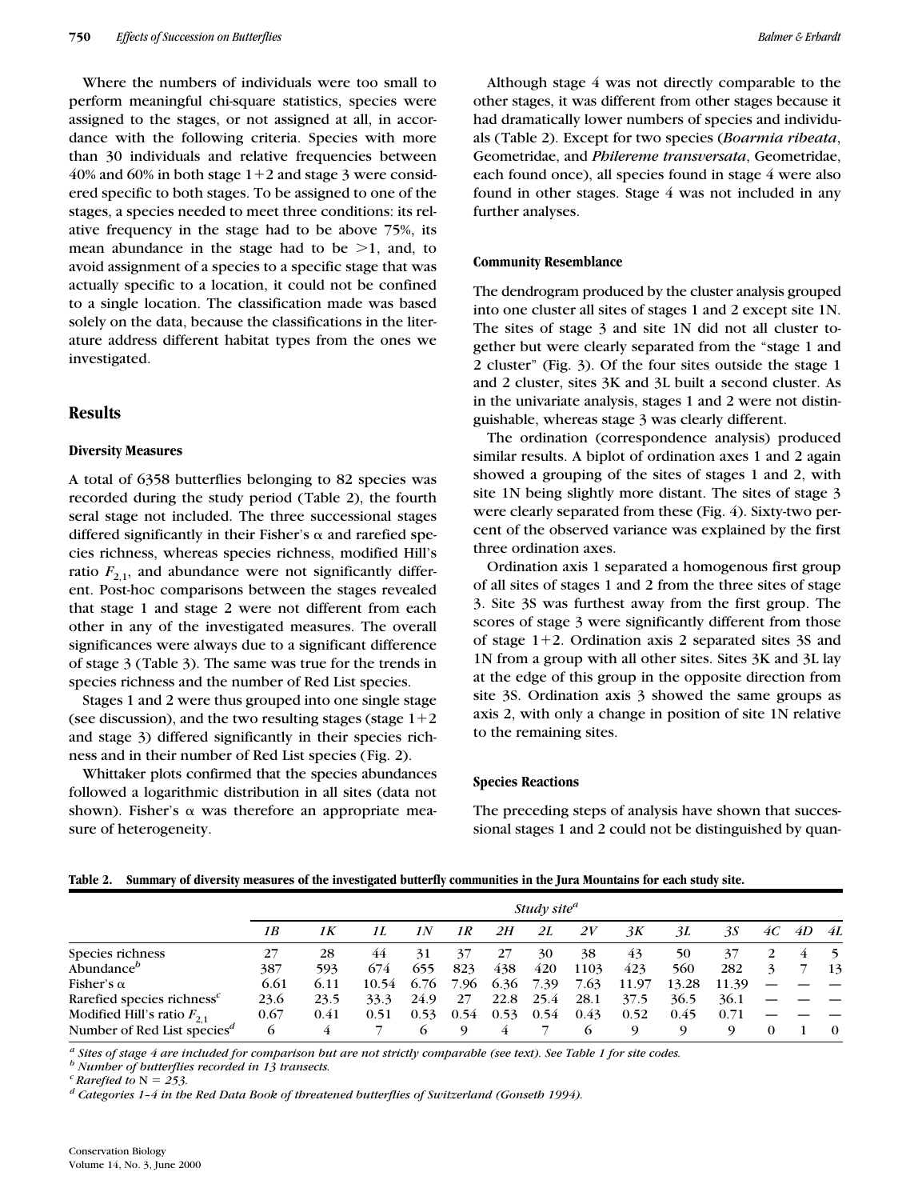Where the numbers of individuals were too small to perform meaningful chi-square statistics, species were assigned to the stages, or not assigned at all, in accordance with the following criteria. Species with more than 30 individuals and relative frequencies between  $40\%$  and 60% in both stage  $1+2$  and stage 3 were considered specific to both stages. To be assigned to one of the stages, a species needed to meet three conditions: its relative frequency in the stage had to be above 75%, its mean abundance in the stage had to be  $\geq 1$ , and, to avoid assignment of a species to a specific stage that was actually specific to a location, it could not be confined to a single location. The classification made was based solely on the data, because the classifications in the literature address different habitat types from the ones we investigated.

# **Results**

## **Diversity Measures**

A total of 6358 butterflies belonging to 82 species was recorded during the study period (Table 2), the fourth seral stage not included. The three successional stages differed significantly in their Fisher's  $\alpha$  and rarefied species richness, whereas species richness, modified Hill's ratio  $F_{2,1}$ , and abundance were not significantly different. Post-hoc comparisons between the stages revealed that stage 1 and stage 2 were not different from each other in any of the investigated measures. The overall significances were always due to a significant difference of stage 3 (Table 3). The same was true for the trends in species richness and the number of Red List species.

Stages 1 and 2 were thus grouped into one single stage (see discussion), and the two resulting stages (stage  $1+2$ and stage 3) differed significantly in their species richness and in their number of Red List species (Fig. 2).

Whittaker plots confirmed that the species abundances followed a logarithmic distribution in all sites (data not shown). Fisher's  $\alpha$  was therefore an appropriate measure of heterogeneity.

Although stage 4 was not directly comparable to the other stages, it was different from other stages because it had dramatically lower numbers of species and individuals (Table 2). Except for two species (*Boarmia ribeata*, Geometridae, and *Philereme transversata*, Geometridae, each found once), all species found in stage 4 were also found in other stages. Stage 4 was not included in any further analyses.

## **Community Resemblance**

The dendrogram produced by the cluster analysis grouped into one cluster all sites of stages 1 and 2 except site 1N. The sites of stage 3 and site 1N did not all cluster together but were clearly separated from the "stage 1 and 2 cluster" (Fig. 3). Of the four sites outside the stage 1 and 2 cluster, sites 3K and 3L built a second cluster. As in the univariate analysis, stages 1 and 2 were not distinguishable, whereas stage 3 was clearly different.

The ordination (correspondence analysis) produced similar results. A biplot of ordination axes 1 and 2 again showed a grouping of the sites of stages 1 and 2, with site 1N being slightly more distant. The sites of stage 3 were clearly separated from these (Fig. 4). Sixty-two percent of the observed variance was explained by the first three ordination axes.

Ordination axis 1 separated a homogenous first group of all sites of stages 1 and 2 from the three sites of stage 3. Site 3S was furthest away from the first group. The scores of stage 3 were significantly different from those of stage  $1+2$ . Ordination axis 2 separated sites 3S and 1N from a group with all other sites. Sites 3K and 3L lay at the edge of this group in the opposite direction from site 3S. Ordination axis 3 showed the same groups as axis 2, with only a change in position of site 1N relative to the remaining sites.

## **Species Reactions**

The preceding steps of analysis have shown that successional stages 1 and 2 could not be distinguished by quan-

|  |  | Table 2. Summary of diversity measures of the investigated butterfly communities in the Jura Mountains for each study site. |
|--|--|-----------------------------------------------------------------------------------------------------------------------------|
|  |  |                                                                                                                             |

|                                                     |      | Study site $^a$ |            |      |             |      |      |      |       |       |       |          |    |          |
|-----------------------------------------------------|------|-----------------|------------|------|-------------|------|------|------|-------|-------|-------|----------|----|----------|
|                                                     | 1В   | 1 K             | 1L         | 1Ν   | 1 R         | 2Н   | 2L   | 2V   | 3K    | 3L    | 3S    | 4C       | 4D | 4L       |
| Species richness                                    | 27   | 28              | 44         | 31   | 37          | 27   | 30   | 38   | 43    | 50    | 37    | 2        |    | - 5      |
| Abundance <sup>b</sup>                              | 387  | 593             | 674        | 655  | 823         | 438  | 420  | 1103 | 423   | 560   | 282   | 3        |    | 13       |
| Fisher's $\alpha$                                   | 6.61 | 6.11            | 10.54 6.76 |      | 7.96        | 6.36 | 7.39 | 7.63 | 11.97 | 13.28 | 11.39 |          |    |          |
| Rarefied species richness <sup><math>c</math></sup> | 23.6 | 23.5            | 33.3       | 24.9 | 27          | 22.8 | 25.4 | 28.1 | 37.5  | 36.5  | 36.1  |          |    |          |
| Modified Hill's ratio $F_{2,1}$                     | 0.67 | 0.41            | 0.51       | 0.53 | $0.54$ 0.53 |      | 0.54 | 0.43 | 0.52  | 0.45  | 0.71  |          |    |          |
| Number of Red List species <sup><i>a</i></sup>      | 6    | 4               |            | 6    | 9           |      |      | 6    |       | Q     |       | $\Omega$ |    | $\theta$ |

*a Sites of stage 4 are included for comparison but are not strictly comparable (see text). See Table 1 for site codes.*

*b Number of butterflies recorded in 13 transects.*

*Rarefied to*  $N = 253$ *.* 

 *Categories 1–4 in the Red Data Book of threatened butterflies of Switzerland (Gonseth 1994).*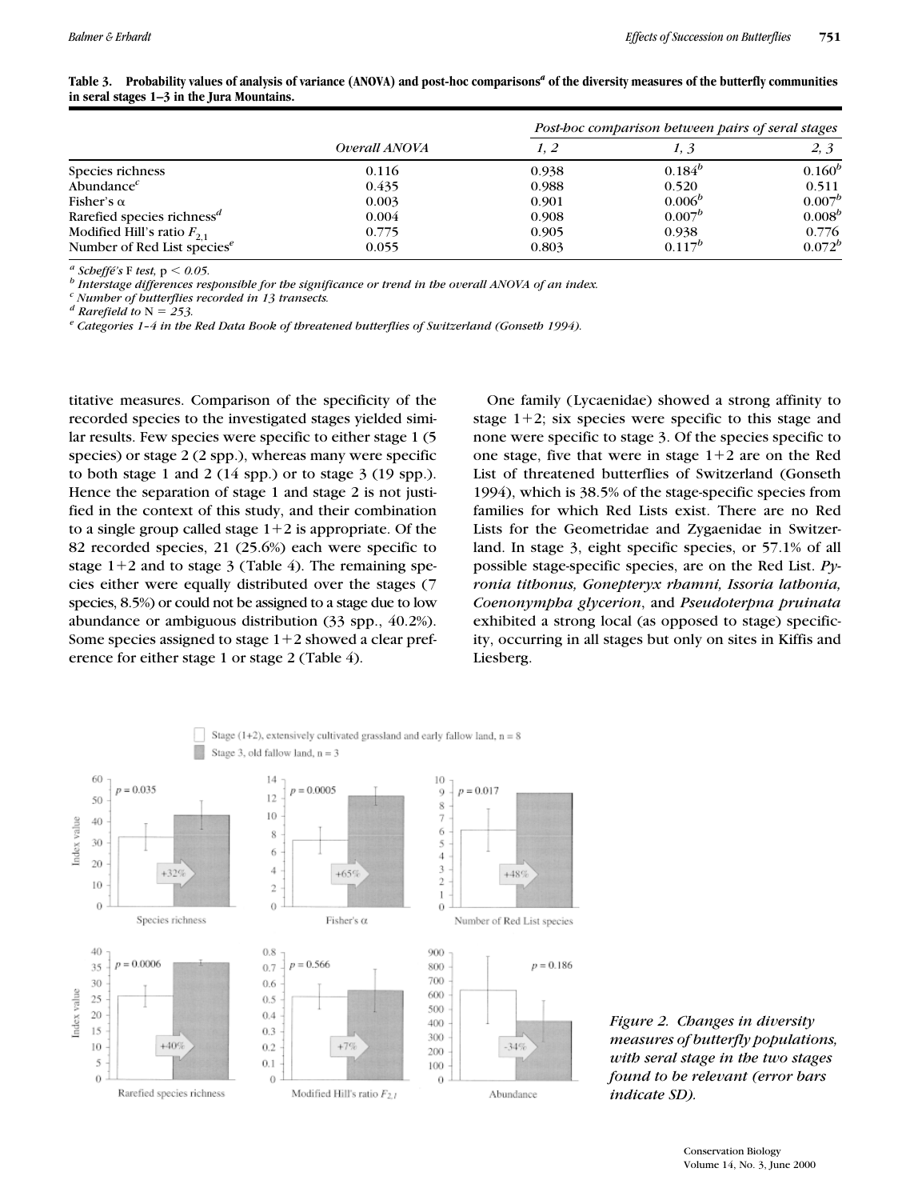|                                               |               | Post-boc comparison between pairs of seral stages |             |             |  |  |
|-----------------------------------------------|---------------|---------------------------------------------------|-------------|-------------|--|--|
|                                               | Overall ANOVA | 1. 2                                              |             | 2, 3        |  |  |
| Species richness                              | 0.116         | 0.938                                             | $0.184^{b}$ | $0.160^{b}$ |  |  |
| Abundance $\epsilon$                          | 0.435         | 0.988                                             | 0.520       | 0.511       |  |  |
| Fisher's $\alpha$                             | 0.003         | 0.901                                             | $0.006^b$   | $0.007^b$   |  |  |
| Rarefied species richness <sup><i>d</i></sup> | 0.004         | 0.908                                             | $0.007^b$   | $0.008^{b}$ |  |  |
| Modified Hill's ratio $F_{2,1}$               | 0.775         | 0.905                                             | 0.938       | 0.776       |  |  |
| Number of Red List species $e$                | 0.055         | 0.803                                             | $0.117^{b}$ | $0.072^b$   |  |  |

**Table 3. Probability values of analysis of variance (ANOVA) and post-hoc comparisons***<sup>a</sup>*  **of the diversity measures of the butterfly communities in seral stages 1–3 in the Jura Mountains.**

 $a^a$  *Scheffé's* **F** test,  $p < 0.05$ .

 *Interstage differences responsible for the significance or trend in the overall ANOVA of an index.*

*c Number of butterflies recorded in 13 transects.*

<sup>*d*</sup> Rarefield to  $N = 253$ .<br><sup>*e*</sup> Categories 1-4 in the

 *Categories 1–4 in the Red Data Book of threatened butterflies of Switzerland (Gonseth 1994).*

titative measures. Comparison of the specificity of the recorded species to the investigated stages yielded similar results. Few species were specific to either stage 1 (5) species) or stage 2 (2 spp.), whereas many were specific to both stage 1 and 2 (14 spp.) or to stage  $3$  (19 spp.). Hence the separation of stage 1 and stage 2 is not justified in the context of this study, and their combination to a single group called stage  $1+2$  is appropriate. Of the 82 recorded species, 21 (25.6%) each were specific to stage  $1+2$  and to stage 3 (Table 4). The remaining species either were equally distributed over the stages (7 species, 8.5%) or could not be assigned to a stage due to low abundance or ambiguous distribution (33 spp., 40.2%). Some species assigned to stage  $1+2$  showed a clear preference for either stage 1 or stage 2 (Table 4).

One family (Lycaenidae) showed a strong affinity to stage  $1+2$ ; six species were specific to this stage and none were specific to stage 3. Of the species specific to one stage, five that were in stage  $1+2$  are on the Red List of threatened butterflies of Switzerland (Gonseth 1994), which is 38.5% of the stage-specific species from families for which Red Lists exist. There are no Red Lists for the Geometridae and Zygaenidae in Switzerland. In stage 3, eight specific species, or 57.1% of all possible stage-specific species, are on the Red List. *Pyronia tithonus, Gonepteryx rhamni, Issoria lathonia, Coenonympha glycerion*, and *Pseudoterpna pruinata* exhibited a strong local (as opposed to stage) specificity, occurring in all stages but only on sites in Kiffis and Liesberg.



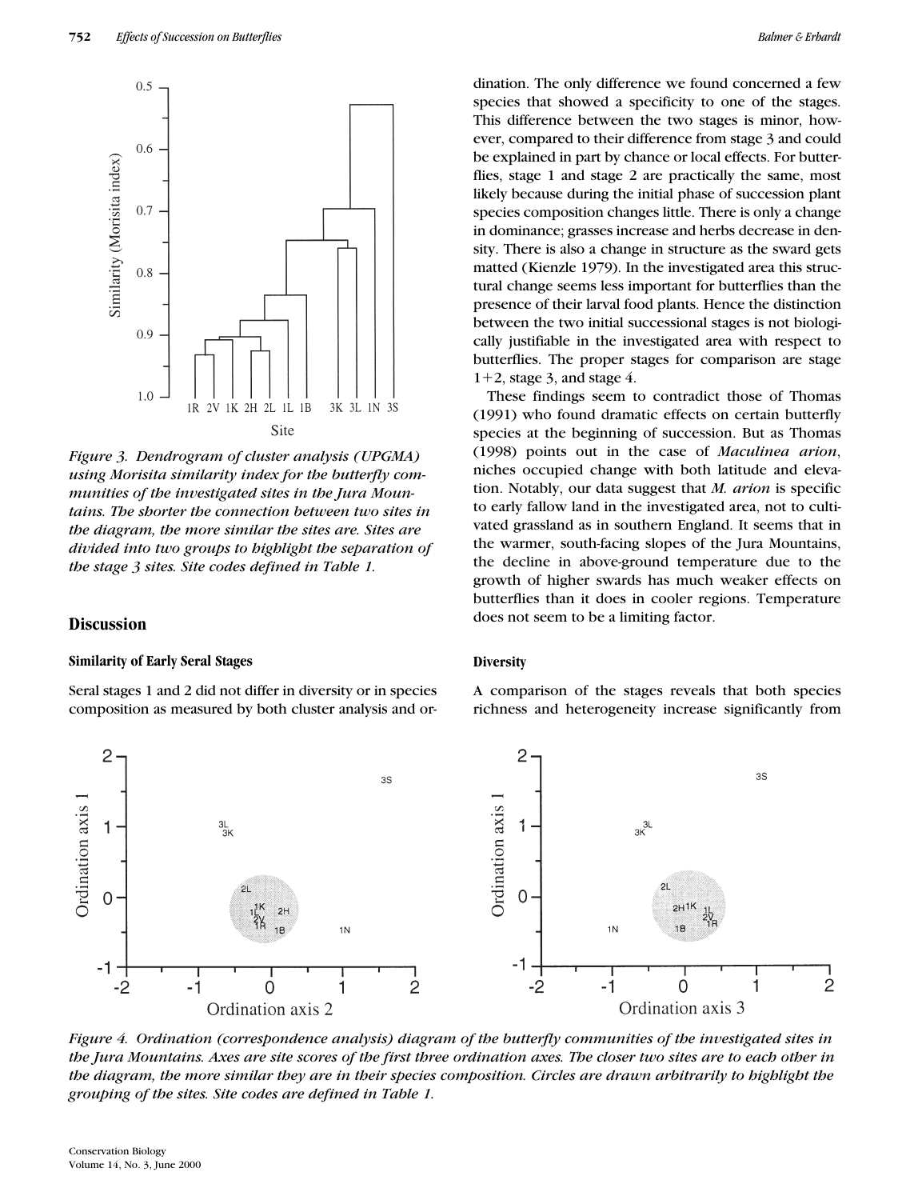

*Figure 3. Dendrogram of cluster analysis (UPGMA) using Morisita similarity index for the butterfly communities of the investigated sites in the Jura Mountains. The shorter the connection between two sites in the diagram, the more similar the sites are. Sites are divided into two groups to highlight the separation of the stage 3 sites. Site codes defined in Table 1.*

## **Discussion**

#### **Similarity of Early Seral Stages**

Seral stages 1 and 2 did not differ in diversity or in species composition as measured by both cluster analysis and or-

dination. The only difference we found concerned a few species that showed a specificity to one of the stages. This difference between the two stages is minor, however, compared to their difference from stage 3 and could be explained in part by chance or local effects. For butterflies, stage 1 and stage 2 are practically the same, most likely because during the initial phase of succession plant species composition changes little. There is only a change in dominance; grasses increase and herbs decrease in density. There is also a change in structure as the sward gets matted (Kienzle 1979). In the investigated area this structural change seems less important for butterflies than the presence of their larval food plants. Hence the distinction between the two initial successional stages is not biologically justifiable in the investigated area with respect to butterflies. The proper stages for comparison are stage  $1+2$ , stage 3, and stage 4.

These findings seem to contradict those of Thomas (1991) who found dramatic effects on certain butterfly species at the beginning of succession. But as Thomas (1998) points out in the case of *Maculinea arion*, niches occupied change with both latitude and elevation. Notably, our data suggest that *M. arion* is specific to early fallow land in the investigated area, not to cultivated grassland as in southern England. It seems that in the warmer, south-facing slopes of the Jura Mountains, the decline in above-ground temperature due to the growth of higher swards has much weaker effects on butterflies than it does in cooler regions. Temperature does not seem to be a limiting factor.

#### **Diversity**

A comparison of the stages reveals that both species richness and heterogeneity increase significantly from



*Figure 4. Ordination (correspondence analysis) diagram of the butterfly communities of the investigated sites in the Jura Mountains. Axes are site scores of the first three ordination axes. The closer two sites are to each other in the diagram, the more similar they are in their species composition. Circles are drawn arbitrarily to highlight the grouping of the sites. Site codes are defined in Table 1.*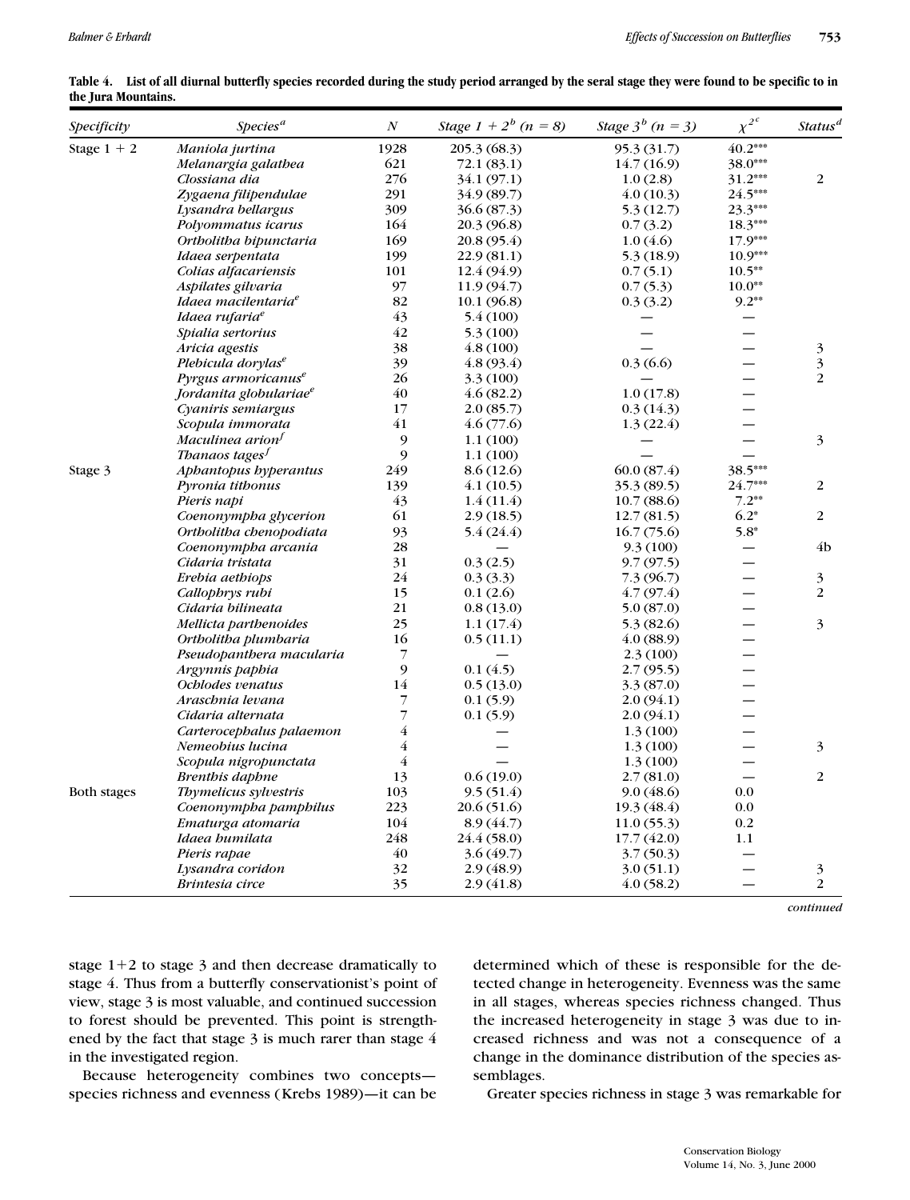| Table 4. List of all diurnal butterfly species recorded during the study period arranged by the seral stage they were found to be specific to in |  |  |  |
|--------------------------------------------------------------------------------------------------------------------------------------------------|--|--|--|
| the Jura Mountains.                                                                                                                              |  |  |  |

| Specificity        | Species <sup>a</sup>                                       | $\boldsymbol{N}$         | Stage $1 + 2^b$ (n = 8) | Stage $3^b$ (n = 3) | $\chi^{2^c}$             | Status <sup>d</sup> |
|--------------------|------------------------------------------------------------|--------------------------|-------------------------|---------------------|--------------------------|---------------------|
| Stage $1 + 2$      | Maniola jurtina                                            | 1928                     | 205.3 (68.3)            | 95.3(31.7)          | $40.2***$                |                     |
|                    | Melanargia galathea                                        | 621                      | 72.1 (83.1)             | 14.7 (16.9)         | 38.0***                  |                     |
|                    | Clossiana dia                                              | 276                      | 34.1 (97.1)             | 1.0(2.8)            | 31.2***                  | 2                   |
|                    | Zygaena filipendulae                                       | 291                      | 34.9 (89.7)             | 4.0(10.3)           | $24.5***$                |                     |
|                    | Lysandra bellargus                                         | 309                      | 36.6 (87.3)             | 5.3(12.7)           | $23.3***$                |                     |
|                    | Polyommatus icarus                                         | 164                      | 20.3 (96.8)             | 0.7(3.2)            | $18.3***$                |                     |
|                    | Ortholitha bipunctaria                                     | 169                      | 20.8 (95.4)             | 1.0(4.6)            | $17.9***$                |                     |
|                    | Idaea serpentata                                           | 199                      | 22.9 (81.1)             | 5.3(18.9)           | $10.9***$                |                     |
|                    | Colias alfacariensis                                       | 101                      | 12.4 (94.9)             | 0.7(5.1)            | $10.5***$                |                     |
|                    | Aspilates gilvaria                                         | 97                       | 11.9 (94.7)             | 0.7(5.3)            | $10.0**$                 |                     |
|                    | Idaea macilentaria <sup>e</sup>                            | 82                       | 10.1 (96.8)             | 0.3(3.2)            | $9.2**$                  |                     |
|                    | Idaea rufaria <sup>e</sup>                                 | 43                       | 5.4(100)                |                     |                          |                     |
|                    | Spialia sertorius                                          | 42                       | 5.3(100)                |                     |                          |                     |
|                    | Aricia agestis                                             | 38                       | 4.8(100)                |                     | $\overline{\phantom{0}}$ | $\mathfrak{Z}$      |
|                    | Plebicula dorylase                                         | 39                       | 4.8(93.4)               | 0.3(6.6)            | $\overline{\phantom{0}}$ | 3                   |
|                    | Pyrgus armoricanus <sup>e</sup>                            | 26                       | 3.3(100)                |                     |                          | 2                   |
|                    | Jordanita globulariae <sup>e</sup>                         | 40                       | 4.6(82.2)               | 1.0(17.8)           | $\overline{\phantom{0}}$ |                     |
|                    | Cyaniris semiargus                                         | 17                       | 2.0(85.7)               | 0.3(14.3)           | $\overline{\phantom{0}}$ |                     |
|                    |                                                            | 41                       |                         |                     |                          |                     |
|                    | Scopula immorata                                           |                          | 4.6(77.6)               | 1.3(22.4)           |                          |                     |
|                    | Maculinea arion <sup>j</sup><br>Thanaos tages <sup>f</sup> | 9                        | 1.1(100)                |                     |                          | 3                   |
|                    |                                                            | 9                        | 1.1(100)                |                     |                          |                     |
| Stage 3            | Aphantopus hyperantus                                      | 249                      | 8.6(12.6)               | 60.0(87.4)          | 38.5***                  |                     |
|                    | Pyronia tithonus                                           | 139                      | 4.1(10.5)               | 35.3 (89.5)         | $24.7***$                | 2                   |
|                    | Pieris napi                                                | 43                       | 1.4(11.4)               | 10.7(88.6)          | $7.2**$                  |                     |
|                    | Coenonympha glycerion                                      | 61                       | 2.9(18.5)               | 12.7(81.5)          | $6.2*$                   | 2                   |
|                    | Ortholitha chenopodiata                                    | 93                       | 5.4(24.4)               | 16.7 (75.6)         | $5.8*$                   |                     |
|                    | Coenonympha arcania                                        | 28                       |                         | 9.3(100)            | —                        | 4b                  |
|                    | Cidaria tristata                                           | 31                       | 0.3(2.5)                | 9.7(97.5)           | $\overline{\phantom{0}}$ |                     |
|                    | Erebia aethiops                                            | 24                       | 0.3(3.3)                | 7.3(96.7)           | $\overline{\phantom{0}}$ | $\mathfrak{Z}$      |
|                    | Callophrys rubi                                            | 15                       | 0.1(2.6)                | 4.7(97.4)           | $\overline{\phantom{0}}$ | 2                   |
|                    | Cidaria bilineata                                          | 21                       | 0.8(13.0)               | 5.0(87.0)           |                          |                     |
|                    | Mellicta parthenoides                                      | 25                       | 1.1(17.4)               | 5.3(82.6)           |                          | 3                   |
|                    | Ortholitha plumbaria                                       | 16                       | 0.5(11.1)               | 4.0(88.9)           | $\overline{\phantom{0}}$ |                     |
|                    | Pseudopanthera macularia                                   | $\overline{\phantom{a}}$ |                         | 2.3(100)            |                          |                     |
|                    | Argynnis paphia                                            | 9                        | 0.1(4.5)                | 2.7(95.5)           |                          |                     |
|                    | Ochlodes venatus                                           | 14                       | 0.5(13.0)               | 3.3(87.0)           |                          |                     |
|                    | Araschnia levana                                           | 7                        | 0.1(5.9)                | 2.0(94.1)           |                          |                     |
|                    | Cidaria alternata                                          | 7                        | 0.1(5.9)                | 2.0(94.1)           |                          |                     |
|                    | Carterocephalus palaemon                                   | 4                        |                         | 1.3(100)            |                          |                     |
|                    | Nemeobius lucina                                           | 4                        |                         | 1.3(100)            | $\overline{\phantom{0}}$ | $\mathfrak{Z}$      |
|                    | Scopula nigropunctata                                      | 4                        |                         | 1.3 (100)           | $\overline{\phantom{0}}$ |                     |
|                    | <b>Brenthis daphne</b>                                     | 13                       | 0.6(19.0)               | 2.7(81.0)           |                          | 2                   |
| <b>Both stages</b> | Thymelicus sylvestris                                      | 103                      | 9.5(51.4)               | 9.0(48.6)           | 0.0                      |                     |
|                    | Coenonympha pamphilus                                      | 223                      | 20.6 (51.6)             | 19.3 (48.4)         | 0.0                      |                     |
|                    | Ematurga atomaria                                          | 104                      | 8.9(44.7)               | 11.0(55.3)          | 0.2                      |                     |
|                    | Idaea humilata                                             | 248                      | 24.4 (58.0)             | 17.7 (42.0)         | 1.1                      |                     |
|                    | Pieris rapae                                               | 40                       | 3.6(49.7)               | 3.7(50.3)           |                          |                     |
|                    | Lysandra coridon                                           | 32                       | 2.9(48.9)               | 3.0(51.1)           | $\overline{\phantom{0}}$ | 3                   |
|                    | Brintesia circe                                            | 35                       | 2.9(41.8)               | 4.0(58.2)           | $\overline{\phantom{0}}$ | $\overline{2}$      |

*continued*

stage  $1+2$  to stage 3 and then decrease dramatically to stage 4. Thus from a butterfly conservationist's point of view, stage 3 is most valuable, and continued succession to forest should be prevented. This point is strengthened by the fact that stage 3 is much rarer than stage 4 in the investigated region.

Because heterogeneity combines two concepts species richness and evenness (Krebs 1989)—it can be determined which of these is responsible for the detected change in heterogeneity. Evenness was the same in all stages, whereas species richness changed. Thus the increased heterogeneity in stage 3 was due to increased richness and was not a consequence of a change in the dominance distribution of the species assemblages.

Greater species richness in stage 3 was remarkable for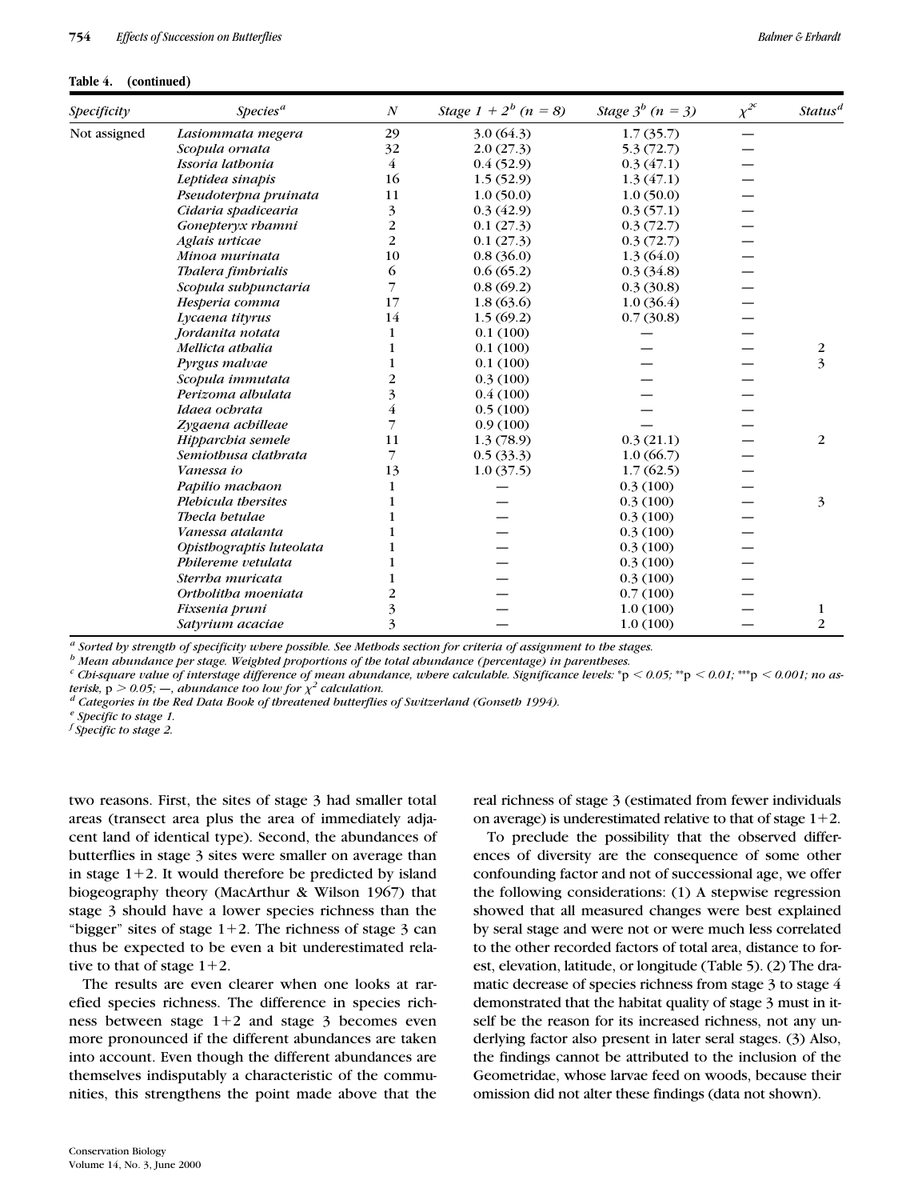#### **Table 4. (continued)**

| Specificity  | Species <sup>a</sup>     | $\boldsymbol{N}$        | Stage $1 + 2^b$ (n = 8) | Stage $3^b$ (n = 3) | $\chi^{2^c}$ | Status <sup>d</sup> |
|--------------|--------------------------|-------------------------|-------------------------|---------------------|--------------|---------------------|
| Not assigned | Lasiommata megera        | 29                      | 3.0(64.3)               | 1.7(35.7)           |              |                     |
|              | Scopula ornata           | 32                      | 2.0(27.3)               | 5.3(72.7)           |              |                     |
|              | Issoria lathonia         | 4                       | 0.4(52.9)               | 0.3(47.1)           |              |                     |
|              | Leptidea sinapis         | 16                      | 1.5(52.9)               | 1.3(47.1)           |              |                     |
|              | Pseudoterpna pruinata    | 11                      | 1.0(50.0)               | 1.0(50.0)           |              |                     |
|              | Cidaria spadicearia      | 3                       | 0.3(42.9)               | 0.3(57.1)           |              |                     |
|              | Gonepteryx rhamni        | $\overline{2}$          | 0.1(27.3)               | 0.3(72.7)           |              |                     |
|              | Aglais urticae           | $\overline{2}$          | 0.1(27.3)               | 0.3(72.7)           |              |                     |
|              | Minoa murinata           | 10                      | 0.8(36.0)               | 1.3(64.0)           |              |                     |
|              | Thalera fimbrialis       | 6                       | 0.6(65.2)               | 0.3(34.8)           |              |                     |
|              | Scopula subpunctaria     | 7                       | 0.8(69.2)               | 0.3(30.8)           |              |                     |
|              | Hesperia comma           | 17                      | 1.8(63.6)               | 1.0(36.4)           |              |                     |
|              | Lycaena tityrus          | 14                      | 1.5(69.2)               | 0.7(30.8)           |              |                     |
|              | Jordanita notata         | 1                       | 0.1(100)                |                     |              |                     |
|              | Mellicta athalia         | 1                       | 0.1(100)                |                     |              | 2                   |
|              | Pyrgus malvae            | 1                       | 0.1(100)                |                     |              | 3                   |
|              | Scopula immutata         | 2                       | 0.3(100)                |                     |              |                     |
|              | Perizoma albulata        | $\overline{\mathbf{3}}$ | 0.4(100)                |                     |              |                     |
|              | Idaea ochrata            | 4                       | 0.5(100)                |                     |              |                     |
|              | Zygaena achilleae        | 7                       | 0.9(100)                |                     |              |                     |
|              | Hipparchia semele        | 11                      | 1.3(78.9)               | 0.3(21.1)           |              | 2                   |
|              | Semiothusa clathrata     | 7                       | 0.5(33.3)               | 1.0(66.7)           |              |                     |
|              | Vanessa io               | 13                      | 1.0(37.5)               | 1.7(62.5)           |              |                     |
|              | Papilio machaon          | 1                       |                         | 0.3(100)            |              |                     |
|              | Plebicula thersites      | 1                       |                         | 0.3(100)            |              | 3                   |
|              | Thecla betulae           |                         |                         | 0.3(100)            |              |                     |
|              | Vanessa atalanta         |                         |                         | 0.3(100)            |              |                     |
|              | Opistbograptis luteolata |                         |                         | 0.3(100)            |              |                     |
|              | Philereme vetulata       |                         |                         | 0.3(100)            |              |                     |
|              | Sterrha muricata         | 1                       |                         | 0.3(100)            |              |                     |
|              | Ortholitha moeniata      | 2                       |                         | 0.7(100)            |              |                     |
|              | Fixsenia pruni           | 3                       |                         | 1.0(100)            |              | 1                   |
|              | Satyrium acaciae         | 3                       |                         | 1.0(100)            |              | 2                   |

*a Sorted by strength of specificity where possible. See Methods section for criteria of assignment to the stages.*

*b Mean abundance per stage. Weighted proportions of the total abundance (percentage) in parentheses.*

 $c$  *Chi-square value of interstage difference of mean abundance, where calculable. Significance levels:*  $^{\ast}$ p  $<$  *0.01;*  $^{\ast\ast}$ p  $<$  *0.001; no asterisk,*  $p > 0.05$ ;  $-$ , *abundance too low for*  $\chi^2$  *calculation. d Categories in the Bod Data Boob of threatened butterflie* 

two reasons. First, the sites of stage 3 had smaller total areas (transect area plus the area of immediately adjacent land of identical type). Second, the abundances of butterflies in stage 3 sites were smaller on average than in stage  $1+2$ . It would therefore be predicted by island biogeography theory (MacArthur & Wilson 1967) that stage 3 should have a lower species richness than the "bigger" sites of stage  $1+2$ . The richness of stage 3 can thus be expected to be even a bit underestimated relative to that of stage  $1+2$ .

The results are even clearer when one looks at rarefied species richness. The difference in species richness between stage  $1+2$  and stage 3 becomes even more pronounced if the different abundances are taken into account. Even though the different abundances are themselves indisputably a characteristic of the communities, this strengthens the point made above that the

on average) is underestimated relative to that of stage  $1+2$ . To preclude the possibility that the observed differ-

ences of diversity are the consequence of some other confounding factor and not of successional age, we offer the following considerations: (1) A stepwise regression showed that all measured changes were best explained by seral stage and were not or were much less correlated to the other recorded factors of total area, distance to forest, elevation, latitude, or longitude (Table 5). (2) The dramatic decrease of species richness from stage 3 to stage 4 demonstrated that the habitat quality of stage 3 must in itself be the reason for its increased richness, not any underlying factor also present in later seral stages. (3) Also, the findings cannot be attributed to the inclusion of the Geometridae, whose larvae feed on woods, because their omission did not alter these findings (data not shown).

real richness of stage 3 (estimated from fewer individuals

*Categories in the Red Data Book of threatened butterflies of Switzerland (Gonseth 1994).*

*e Specific to stage 1.*

*f Specific to stage 2.*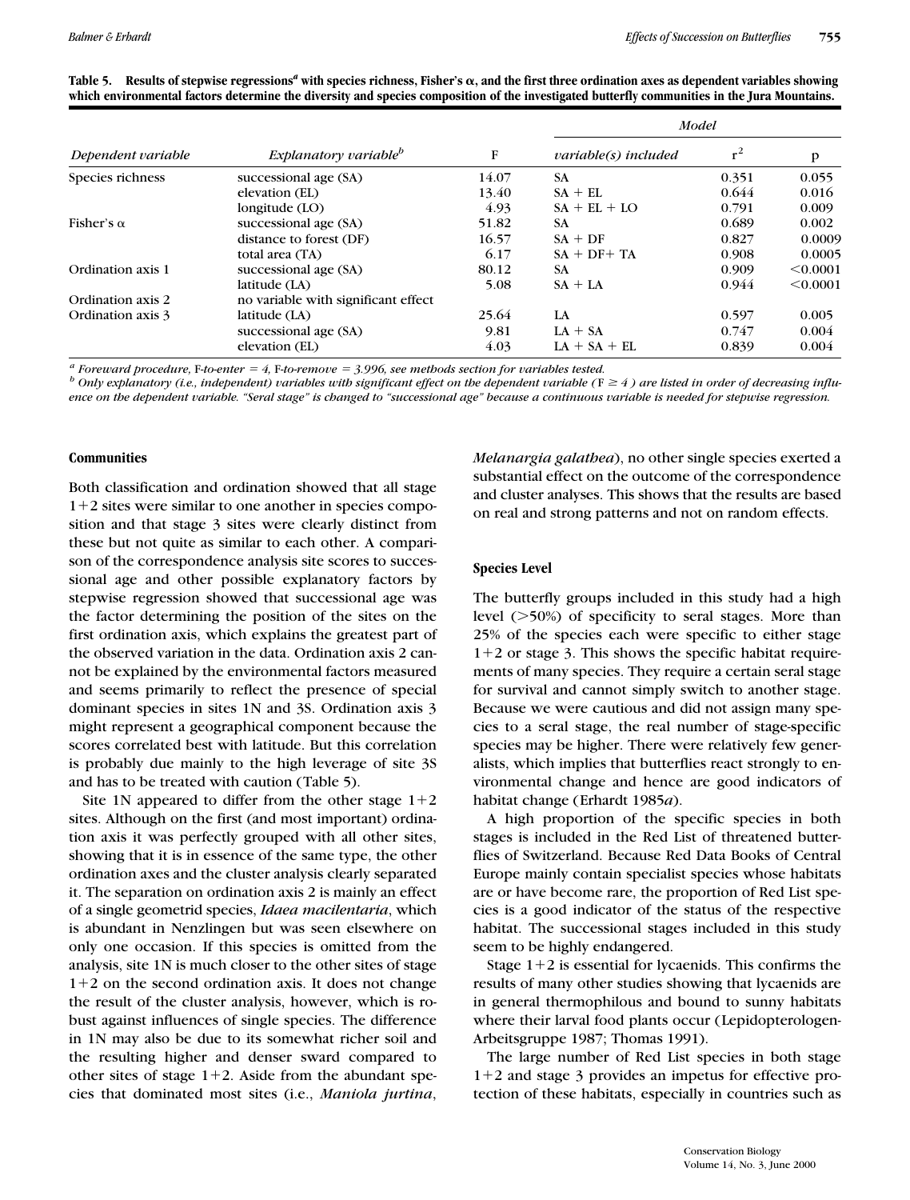*Model*

| Dependent variable | Explanatory variable <sup>b</sup>   | F     | variable(s) included | $r^2$ | p        |  |  |
|--------------------|-------------------------------------|-------|----------------------|-------|----------|--|--|
| Species richness   | successional age (SA)               | 14.07 | <b>SA</b>            | 0.351 | 0.055    |  |  |
|                    | elevation (EL)                      | 13.40 | $SA + EL$            | 0.644 | 0.016    |  |  |
|                    | longitude $(LO)$                    | 4.93  | $SA + EL + LO$       | 0.791 | 0.009    |  |  |
| Fisher's $\alpha$  | successional age (SA)               | 51.82 | <b>SA</b>            | 0.689 | 0.002    |  |  |
|                    | distance to forest (DF)             | 16.57 | $SA + DF$            | 0.827 | 0.0009   |  |  |
|                    | total area (TA)                     | 6.17  | $SA + DF + TA$       | 0.908 | 0.0005   |  |  |
| Ordination axis 1  | successional age (SA)               | 80.12 | <b>SA</b>            | 0.909 | < 0.0001 |  |  |
|                    | latitude $(LA)$                     | 5.08  | $SA + LA$            | 0.944 | < 0.0001 |  |  |
| Ordination axis 2  | no variable with significant effect |       |                      |       |          |  |  |
| Ordination axis 3  | latitude $(LA)$                     | 25.64 | LA.                  | 0.597 | 0.005    |  |  |
|                    | successional age (SA)               | 9.81  | $LA + SA$            | 0.747 | 0.004    |  |  |
|                    | elevation (EL)                      | 4.03  | $LA + SA + EL$       | 0.839 | 0.004    |  |  |

Table 5. Results of stepwise regressions<sup>*a*</sup> with species richness, Fisher's α, and the first three ordination axes as dependent variables showing **which environmental factors determine the diversity and species composition of the investigated butterfly communities in the Jura Mountains.**

 $a$  Foreward procedure, F-to-enter  $=$  4, F-to-remove  $=$  3.996, see methods section for variables tested.

 $^b$  Only explanatory (i.e., independent) variables with significant effect on the dependent variable ( $F \ge 4$ ) are listed in order of decreasing influ*ence on the dependent variable. "Seral stage" is changed to "successional age" because a continuous variable is needed for stepwise regression.*

#### **Communities**

Both classification and ordination showed that all stage  $1+2$  sites were similar to one another in species composition and that stage 3 sites were clearly distinct from these but not quite as similar to each other. A comparison of the correspondence analysis site scores to successional age and other possible explanatory factors by stepwise regression showed that successional age was the factor determining the position of the sites on the first ordination axis, which explains the greatest part of the observed variation in the data. Ordination axis 2 cannot be explained by the environmental factors measured and seems primarily to reflect the presence of special dominant species in sites 1N and 3S. Ordination axis 3 might represent a geographical component because the scores correlated best with latitude. But this correlation is probably due mainly to the high leverage of site 3S and has to be treated with caution (Table 5).

Site 1N appeared to differ from the other stage  $1+2$ sites. Although on the first (and most important) ordination axis it was perfectly grouped with all other sites, showing that it is in essence of the same type, the other ordination axes and the cluster analysis clearly separated it. The separation on ordination axis 2 is mainly an effect of a single geometrid species, *Idaea macilentaria*, which is abundant in Nenzlingen but was seen elsewhere on only one occasion. If this species is omitted from the analysis, site 1N is much closer to the other sites of stage  $1+2$  on the second ordination axis. It does not change the result of the cluster analysis, however, which is robust against influences of single species. The difference in 1N may also be due to its somewhat richer soil and the resulting higher and denser sward compared to other sites of stage  $1+2$ . Aside from the abundant species that dominated most sites (i.e., *Maniola jurtina*,

*Melanargia galathea*), no other single species exerted a substantial effect on the outcome of the correspondence and cluster analyses. This shows that the results are based on real and strong patterns and not on random effects.

### **Species Level**

The butterfly groups included in this study had a high level  $($ >50%) of specificity to seral stages. More than 25% of the species each were specific to either stage  $1+2$  or stage 3. This shows the specific habitat requirements of many species. They require a certain seral stage for survival and cannot simply switch to another stage. Because we were cautious and did not assign many species to a seral stage, the real number of stage-specific species may be higher. There were relatively few generalists, which implies that butterflies react strongly to environmental change and hence are good indicators of habitat change (Erhardt 1985*a*).

A high proportion of the specific species in both stages is included in the Red List of threatened butterflies of Switzerland. Because Red Data Books of Central Europe mainly contain specialist species whose habitats are or have become rare, the proportion of Red List species is a good indicator of the status of the respective habitat. The successional stages included in this study seem to be highly endangered.

Stage  $1+2$  is essential for lycaenids. This confirms the results of many other studies showing that lycaenids are in general thermophilous and bound to sunny habitats where their larval food plants occur (Lepidopterologen-Arbeitsgruppe 1987; Thomas 1991).

The large number of Red List species in both stage  $1+2$  and stage 3 provides an impetus for effective protection of these habitats, especially in countries such as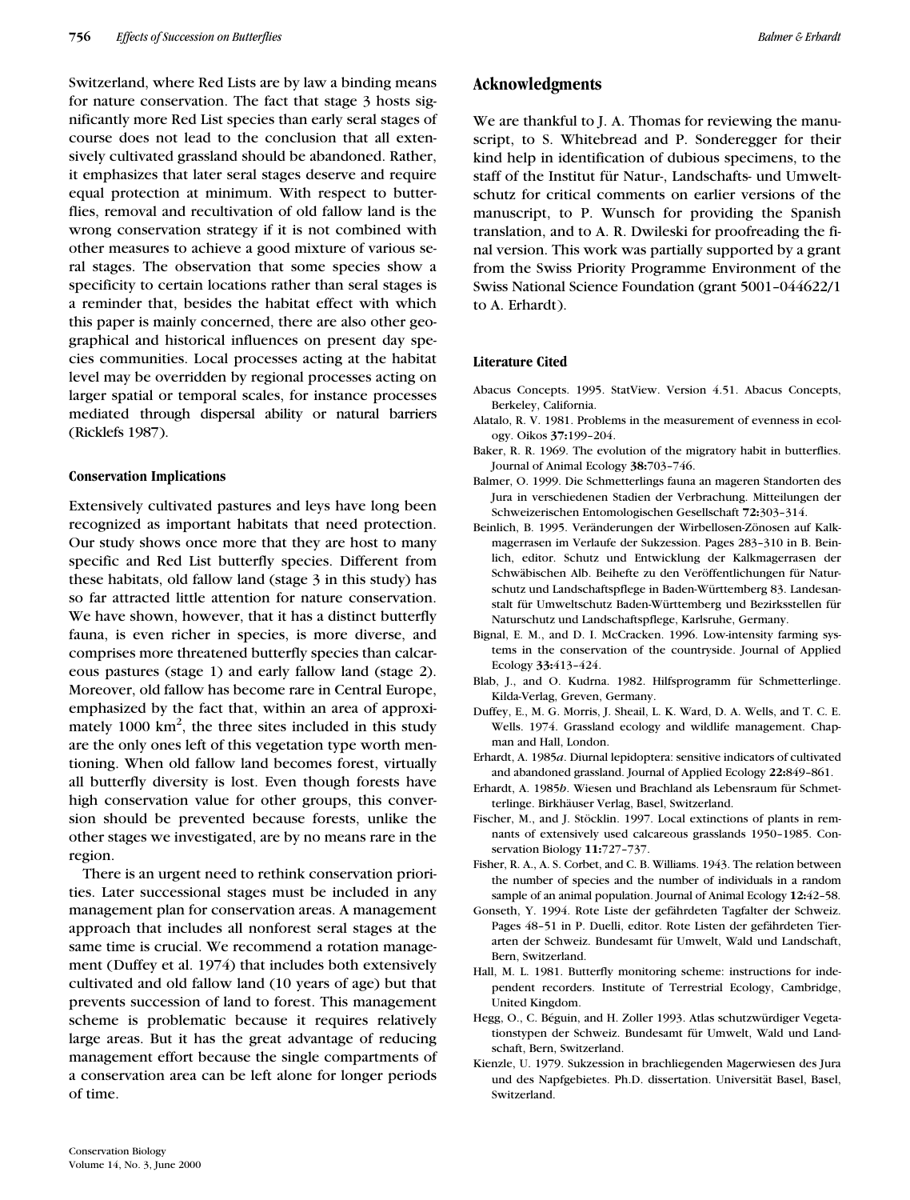Switzerland, where Red Lists are by law a binding means for nature conservation. The fact that stage 3 hosts significantly more Red List species than early seral stages of course does not lead to the conclusion that all extensively cultivated grassland should be abandoned. Rather, it emphasizes that later seral stages deserve and require equal protection at minimum. With respect to butterflies, removal and recultivation of old fallow land is the wrong conservation strategy if it is not combined with other measures to achieve a good mixture of various seral stages. The observation that some species show a specificity to certain locations rather than seral stages is a reminder that, besides the habitat effect with which this paper is mainly concerned, there are also other geographical and historical influences on present day species communities. Local processes acting at the habitat level may be overridden by regional processes acting on larger spatial or temporal scales, for instance processes mediated through dispersal ability or natural barriers (Ricklefs 1987).

#### **Conservation Implications**

Extensively cultivated pastures and leys have long been recognized as important habitats that need protection. Our study shows once more that they are host to many specific and Red List butterfly species. Different from these habitats, old fallow land (stage 3 in this study) has so far attracted little attention for nature conservation. We have shown, however, that it has a distinct butterfly fauna, is even richer in species, is more diverse, and comprises more threatened butterfly species than calcareous pastures (stage 1) and early fallow land (stage 2). Moreover, old fallow has become rare in Central Europe, emphasized by the fact that, within an area of approximately 1000 km<sup>2</sup>, the three sites included in this study are the only ones left of this vegetation type worth mentioning. When old fallow land becomes forest, virtually all butterfly diversity is lost. Even though forests have high conservation value for other groups, this conversion should be prevented because forests, unlike the other stages we investigated, are by no means rare in the region.

There is an urgent need to rethink conservation priorities. Later successional stages must be included in any management plan for conservation areas. A management approach that includes all nonforest seral stages at the same time is crucial. We recommend a rotation management (Duffey et al. 1974) that includes both extensively cultivated and old fallow land (10 years of age) but that prevents succession of land to forest. This management scheme is problematic because it requires relatively large areas. But it has the great advantage of reducing management effort because the single compartments of a conservation area can be left alone for longer periods of time.

## **Acknowledgments**

We are thankful to J. A. Thomas for reviewing the manuscript, to S. Whitebread and P. Sonderegger for their kind help in identification of dubious specimens, to the staff of the Institut für Natur-, Landschafts- und Umweltschutz for critical comments on earlier versions of the manuscript, to P. Wunsch for providing the Spanish translation, and to A. R. Dwileski for proofreading the final version. This work was partially supported by a grant from the Swiss Priority Programme Environment of the Swiss National Science Foundation (grant 5001–044622/1 to A. Erhardt).

#### **Literature Cited**

- Abacus Concepts. 1995. StatView. Version 4.51. Abacus Concepts, Berkeley, California.
- Alatalo, R. V. 1981. Problems in the measurement of evenness in ecology. Oikos **37:**199–204.
- Baker, R. R. 1969. The evolution of the migratory habit in butterflies. Journal of Animal Ecology **38:**703–746.
- Balmer, O. 1999. Die Schmetterlings fauna an mageren Standorten des Jura in verschiedenen Stadien der Verbrachung. Mitteilungen der Schweizerischen Entomologischen Gesellschaft **72:**303–314.
- Beinlich, B. 1995. Veränderungen der Wirbellosen-Zönosen auf Kalkmagerrasen im Verlaufe der Sukzession. Pages 283–310 in B. Beinlich, editor. Schutz und Entwicklung der Kalkmagerrasen der Schwäbischen Alb. Beihefte zu den Veröffentlichungen für Naturschutz und Landschaftspflege in Baden-Württemberg 83. Landesanstalt für Umweltschutz Baden-Württemberg und Bezirksstellen für Naturschutz und Landschaftspflege, Karlsruhe, Germany.
- Bignal, E. M., and D. I. McCracken. 1996. Low-intensity farming systems in the conservation of the countryside. Journal of Applied Ecology **33:**413–424.
- Blab, J., and O. Kudrna. 1982. Hilfsprogramm für Schmetterlinge. Kilda-Verlag, Greven, Germany.
- Duffey, E., M. G. Morris, J. Sheail, L. K. Ward, D. A. Wells, and T. C. E. Wells. 1974. Grassland ecology and wildlife management. Chapman and Hall, London.
- Erhardt, A. 1985*a*. Diurnal lepidoptera: sensitive indicators of cultivated and abandoned grassland. Journal of Applied Ecology **22:**849–861.
- Erhardt, A. 1985*b*. Wiesen und Brachland als Lebensraum für Schmetterlinge. Birkhäuser Verlag, Basel, Switzerland.
- Fischer, M., and J. Stöcklin. 1997. Local extinctions of plants in remnants of extensively used calcareous grasslands 1950–1985. Conservation Biology **11:**727–737.
- Fisher, R. A., A. S. Corbet, and C. B. Williams. 1943. The relation between the number of species and the number of individuals in a random sample of an animal population. Journal of Animal Ecology **12:**42–58.
- Gonseth, Y. 1994. Rote Liste der gefährdeten Tagfalter der Schweiz. Pages 48–51 in P. Duelli, editor. Rote Listen der gefährdeten Tierarten der Schweiz. Bundesamt für Umwelt, Wald und Landschaft, Bern, Switzerland.
- Hall, M. L. 1981. Butterfly monitoring scheme: instructions for independent recorders. Institute of Terrestrial Ecology, Cambridge, United Kingdom.
- Hegg, O., C. Béguin, and H. Zoller 1993. Atlas schutzwürdiger Vegetationstypen der Schweiz. Bundesamt für Umwelt, Wald und Landschaft, Bern, Switzerland.
- Kienzle, U. 1979. Sukzession in brachliegenden Magerwiesen des Jura und des Napfgebietes. Ph.D. dissertation. Universität Basel, Basel, Switzerland.